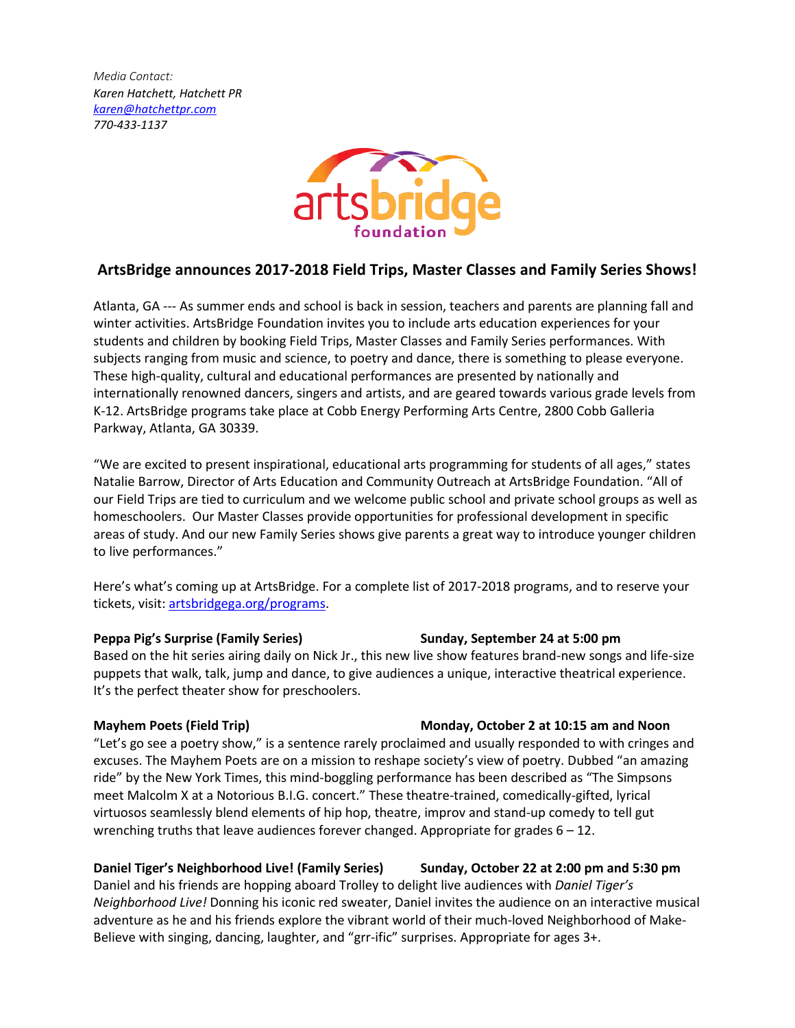*Media Contact: Karen Hatchett, Hatchett PR [karen@hatchettpr.com](mailto:karen@hatchettpr.com) 770-433-1137*



## **ArtsBridge announces 2017-2018 Field Trips, Master Classes and Family Series Shows!**

Atlanta, GA --- As summer ends and school is back in session, teachers and parents are planning fall and winter activities. ArtsBridge Foundation invites you to include arts education experiences for your students and children by booking Field Trips, Master Classes and Family Series performances. With subjects ranging from music and science, to poetry and dance, there is something to please everyone. These high-quality, cultural and educational performances are presented by nationally and internationally renowned dancers, singers and artists, and are geared towards various grade levels from K-12. ArtsBridge programs take place at Cobb Energy Performing Arts Centre, 2800 Cobb Galleria Parkway, Atlanta, GA 30339.

"We are excited to present inspirational, educational arts programming for students of all ages," states Natalie Barrow, Director of Arts Education and Community Outreach at ArtsBridge Foundation. "All of our Field Trips are tied to curriculum and we welcome public school and private school groups as well as homeschoolers. Our Master Classes provide opportunities for professional development in specific areas of study. And our new Family Series shows give parents a great way to introduce younger children to live performances."

Here's what's coming up at ArtsBridge. For a complete list of 2017-2018 programs, and to reserve your tickets, visit: [artsbridgega.org/programs.](http://artsbridgega.org/programs)

### **Peppa Pig's Surprise (Family Series) Sunday, September 24 at 5:00 pm**

Based on the hit series airing daily on Nick Jr., this new live show features brand-new songs and life-size puppets that walk, talk, jump and dance, to give audiences a unique, interactive theatrical experience. It's the perfect theater show for preschoolers.

## **Mayhem Poets (Field Trip) Monday, October 2 at 10:15 am and Noon**

"Let's go see a poetry show," is a sentence rarely proclaimed and usually responded to with cringes and excuses. The Mayhem Poets are on a mission to reshape society's view of poetry. Dubbed "an amazing ride" by the New York Times, this mind-boggling performance has been described as "The Simpsons meet Malcolm X at a Notorious B.I.G. concert." These theatre-trained, comedically-gifted, lyrical virtuosos seamlessly blend elements of hip hop, theatre, improv and stand-up comedy to tell gut wrenching truths that leave audiences forever changed. Appropriate for grades 6 – 12.

## **Daniel Tiger's Neighborhood Live! (Family Series) Sunday, October 22 at 2:00 pm and 5:30 pm**

Daniel and his friends are hopping aboard Trolley to delight live audiences with *Daniel Tiger's Neighborhood Live!* Donning his iconic red sweater, Daniel invites the audience on an interactive musical adventure as he and his friends explore the vibrant world of their much-loved Neighborhood of Make-Believe with singing, dancing, laughter, and "grr-ific" surprises. Appropriate for ages 3+.